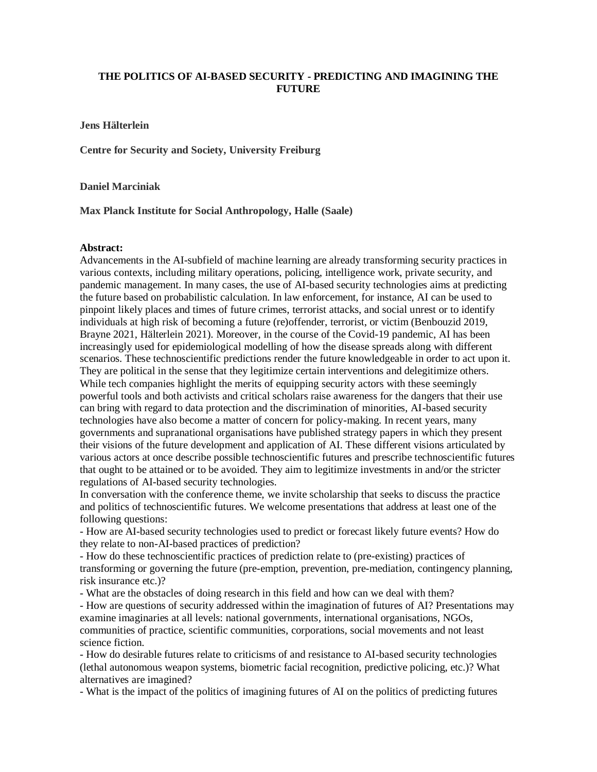## **THE POLITICS OF AI-BASED SECURITY - PREDICTING AND IMAGINING THE FUTURE**

**Jens Hälterlein**

**Centre for Security and Society, University Freiburg**

**Daniel Marciniak**

**Max Planck Institute for Social Anthropology, Halle (Saale)**

## **Abstract:**

Advancements in the AI-subfield of machine learning are already transforming security practices in various contexts, including military operations, policing, intelligence work, private security, and pandemic management. In many cases, the use of AI-based security technologies aims at predicting the future based on probabilistic calculation. In law enforcement, for instance, AI can be used to pinpoint likely places and times of future crimes, terrorist attacks, and social unrest or to identify individuals at high risk of becoming a future (re)offender, terrorist, or victim (Benbouzid 2019, Brayne 2021, Hälterlein 2021). Moreover, in the course of the Covid-19 pandemic, AI has been increasingly used for epidemiological modelling of how the disease spreads along with different scenarios. These technoscientific predictions render the future knowledgeable in order to act upon it. They are political in the sense that they legitimize certain interventions and delegitimize others. While tech companies highlight the merits of equipping security actors with these seemingly powerful tools and both activists and critical scholars raise awareness for the dangers that their use can bring with regard to data protection and the discrimination of minorities, AI-based security technologies have also become a matter of concern for policy-making. In recent years, many governments and supranational organisations have published strategy papers in which they present their visions of the future development and application of AI. These different visions articulated by various actors at once describe possible technoscientific futures and prescribe technoscientific futures that ought to be attained or to be avoided. They aim to legitimize investments in and/or the stricter regulations of AI-based security technologies.

In conversation with the conference theme, we invite scholarship that seeks to discuss the practice and politics of technoscientific futures. We welcome presentations that address at least one of the following questions:

- How are AI-based security technologies used to predict or forecast likely future events? How do they relate to non-AI-based practices of prediction?

- How do these technoscientific practices of prediction relate to (pre-existing) practices of transforming or governing the future (pre-emption, prevention, pre-mediation, contingency planning, risk insurance etc.)?

- What are the obstacles of doing research in this field and how can we deal with them?

- How are questions of security addressed within the imagination of futures of AI? Presentations may examine imaginaries at all levels: national governments, international organisations, NGOs, communities of practice, scientific communities, corporations, social movements and not least science fiction.

- How do desirable futures relate to criticisms of and resistance to AI-based security technologies (lethal autonomous weapon systems, biometric facial recognition, predictive policing, etc.)? What alternatives are imagined?

- What is the impact of the politics of imagining futures of AI on the politics of predicting futures